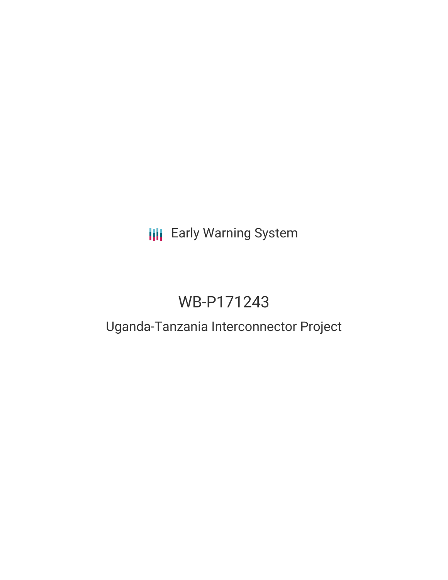# **III** Early Warning System

# WB-P171243

## Uganda-Tanzania Interconnector Project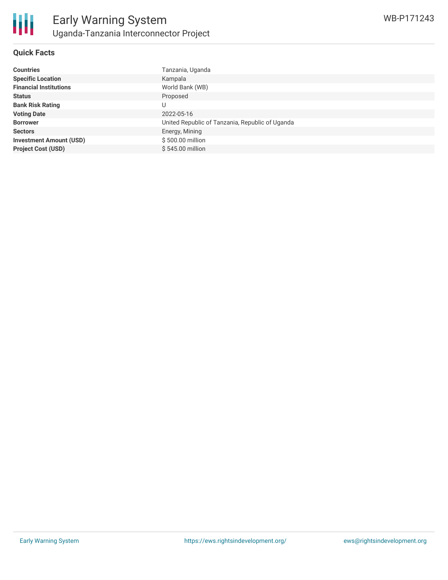

#### **Quick Facts**

| Tanzania, Uganda                                |
|-------------------------------------------------|
| Kampala                                         |
| World Bank (WB)                                 |
| Proposed                                        |
| U                                               |
| 2022-05-16                                      |
| United Republic of Tanzania, Republic of Uganda |
| Energy, Mining                                  |
| \$500.00 million                                |
| \$545.00 million                                |
|                                                 |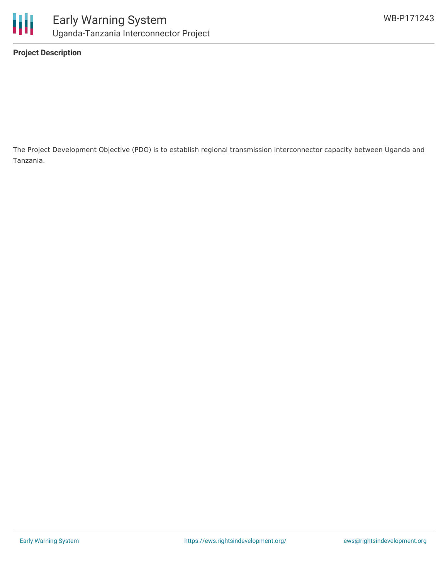

**Project Description**

The Project Development Objective (PDO) is to establish regional transmission interconnector capacity between Uganda and Tanzania.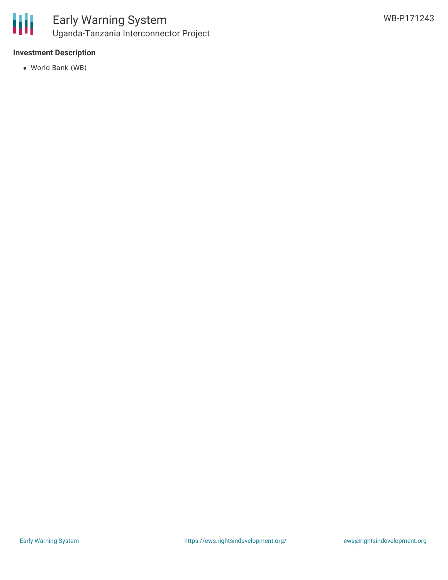

## Early Warning System Uganda-Tanzania Interconnector Project

#### **Investment Description**

World Bank (WB)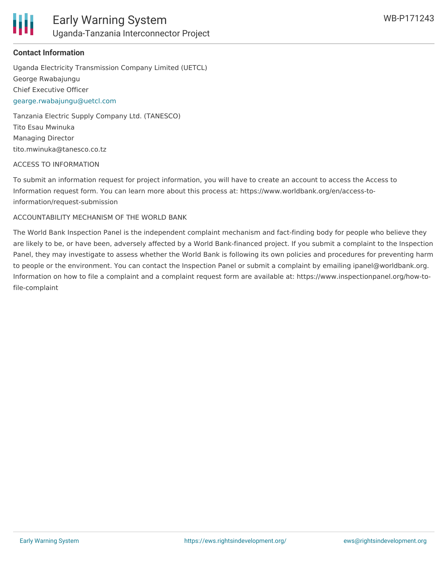

#### **Contact Information**

Uganda Electricity Transmission Company Limited (UETCL) George Rwabajungu Chief Executive Officer [gearge.rwabajungu@uetcl.com](mailto:gearge.rwabajungu@uetcl.com)

Tanzania Electric Supply Company Ltd. (TANESCO) Tito Esau Mwinuka Managing Director tito.mwinuka@tanesco.co.tz

#### ACCESS TO INFORMATION

To submit an information request for project information, you will have to create an account to access the Access to Information request form. You can learn more about this process at: https://www.worldbank.org/en/access-toinformation/request-submission

#### ACCOUNTABILITY MECHANISM OF THE WORLD BANK

The World Bank Inspection Panel is the independent complaint mechanism and fact-finding body for people who believe they are likely to be, or have been, adversely affected by a World Bank-financed project. If you submit a complaint to the Inspection Panel, they may investigate to assess whether the World Bank is following its own policies and procedures for preventing harm to people or the environment. You can contact the Inspection Panel or submit a complaint by emailing ipanel@worldbank.org. Information on how to file a complaint and a complaint request form are available at: https://www.inspectionpanel.org/how-tofile-complaint